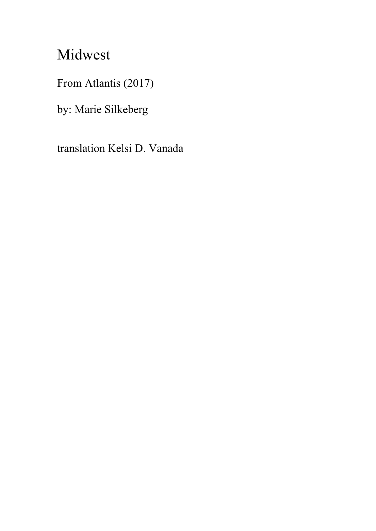## Midwest

From Atlantis (2017)

by: Marie Silkeberg

translation Kelsi D. Vanada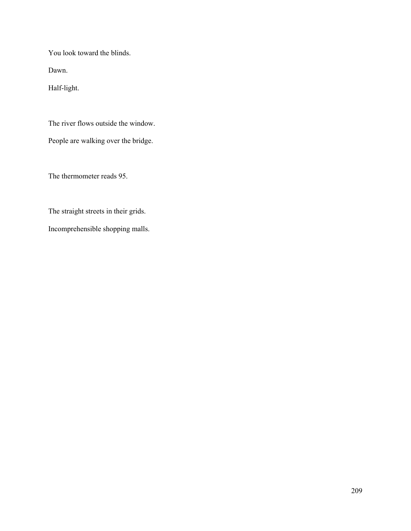You look toward the blinds.

Dawn.

Half-light.

The river flows outside the window.

People are walking over the bridge.

The thermometer reads 95.

The straight streets in their grids.

Incomprehensible shopping malls.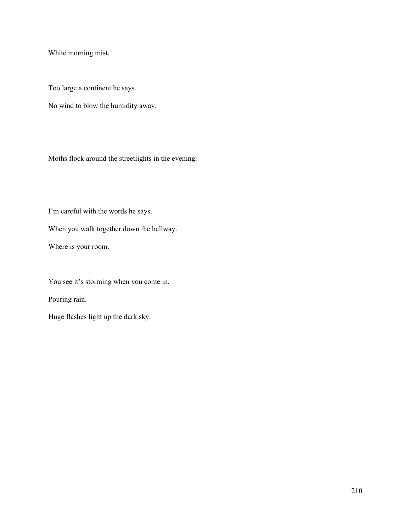White morning mist.

Too large a continent he says.

No wind to blow the humidity away.

Moths flock around the streetlights in the evening.

I'm careful with the words he says.

When you walk together down the hallway.

Where is your room.

You see it's storming when you come in.

Pouring rain.

Huge flashes light up the dark sky.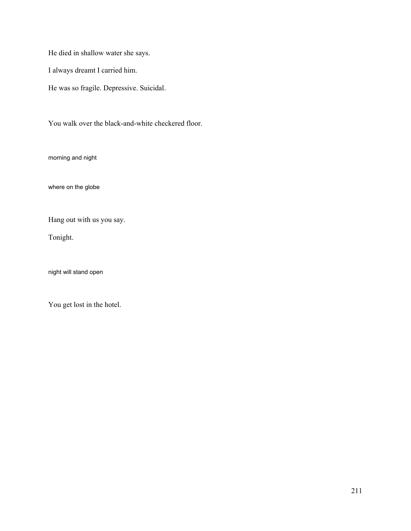He died in shallow water she says.

I always dreamt I carried him.

He was so fragile. Depressive. Suicidal.

You walk over the black-and-white checkered floor.

morning and night

where on the globe

Hang out with us you say.

Tonight.

night will stand open

You get lost in the hotel.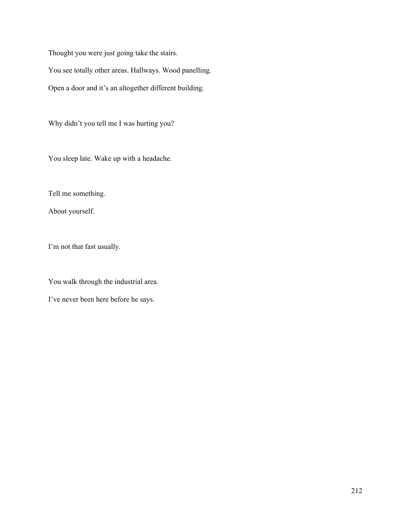Thought you were just going take the stairs.

You see totally other areas. Hallways. Wood panelling.

Open a door and it's an altogether different building.

Why didn't you tell me I was hurting you?

You sleep late. Wake up with a headache.

Tell me something.

About yourself.

I'm not that fast usually.

You walk through the industrial area.

I've never been here before he says.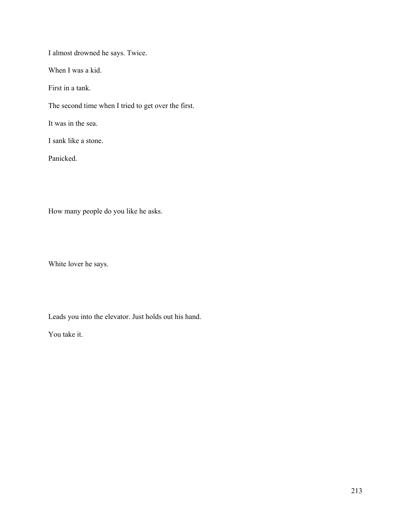I almost drowned he says. Twice.

When I was a kid.

First in a tank.

The second time when I tried to get over the first.

It was in the sea.

I sank like a stone.

Panicked.

How many people do you like he asks.

White lover he says.

Leads you into the elevator. Just holds out his hand.

You take it.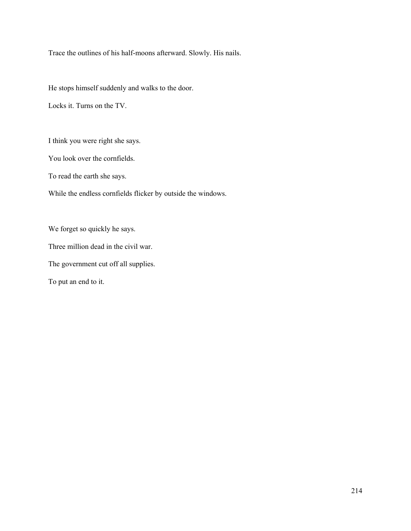Trace the outlines of his half-moons afterward. Slowly. His nails.

He stops himself suddenly and walks to the door.

Locks it. Turns on the TV.

I think you were right she says.

You look over the cornfields.

To read the earth she says.

While the endless cornfields flicker by outside the windows.

We forget so quickly he says. Three million dead in the civil war. The government cut off all supplies.

To put an end to it.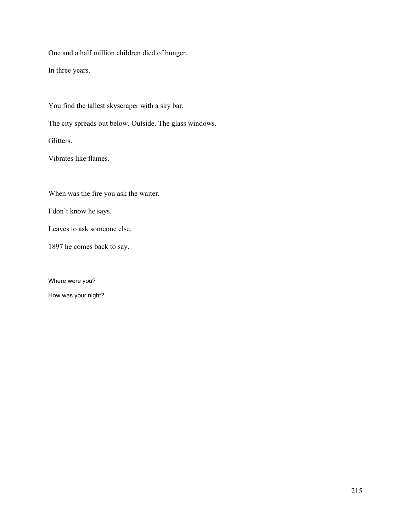One and a half million children died of hunger.

In three years.

You find the tallest skyscraper with a sky bar.

The city spreads out below. Outside. The glass windows.

Glitters.

Vibrates like flames.

When was the fire you ask the waiter.

I don't know he says.

Leaves to ask someone else.

1897 he comes back to say.

Where were you? How was your night?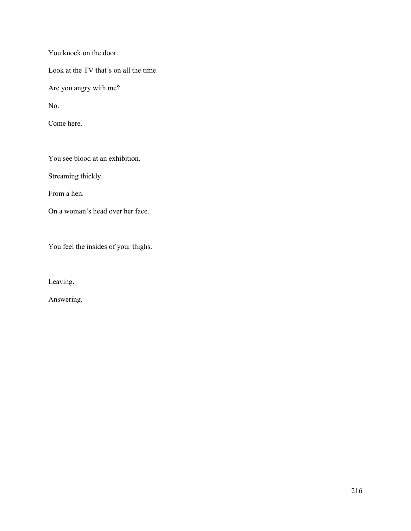You knock on the door.

Look at the TV that's on all the time.

Are you angry with me?

No.

Come here.

You see blood at an exhibition.

Streaming thickly.

From a hen.

On a woman's head over her face.

You feel the insides of your thighs.

Leaving.

Answering.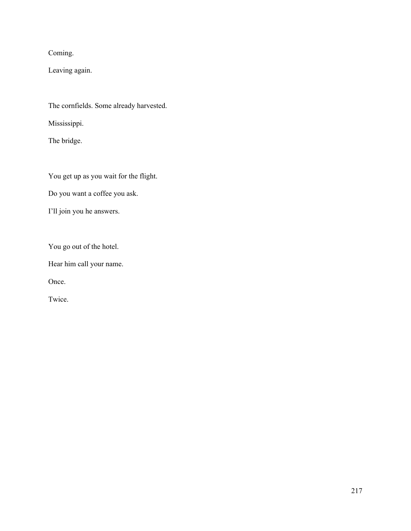Coming.

Leaving again.

The cornfields. Some already harvested.

Mississippi.

The bridge.

You get up as you wait for the flight.

Do you want a coffee you ask.

I'll join you he answers.

You go out of the hotel.

Hear him call your name.

Once.

Twice.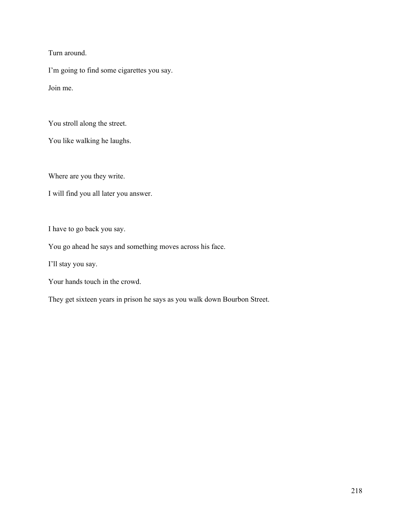Turn around.

I'm going to find some cigarettes you say.

Join me.

You stroll along the street.

You like walking he laughs.

Where are you they write.

I will find you all later you answer.

I have to go back you say.

You go ahead he says and something moves across his face.

I'll stay you say.

Your hands touch in the crowd.

They get sixteen years in prison he says as you walk down Bourbon Street.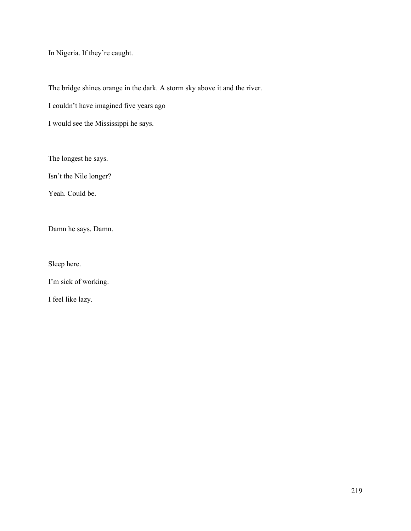In Nigeria. If they're caught.

The bridge shines orange in the dark. A storm sky above it and the river.

I couldn't have imagined five years ago

I would see the Mississippi he says.

The longest he says.

Isn't the Nile longer?

Yeah. Could be.

Damn he says. Damn.

Sleep here.

I'm sick of working.

I feel like lazy.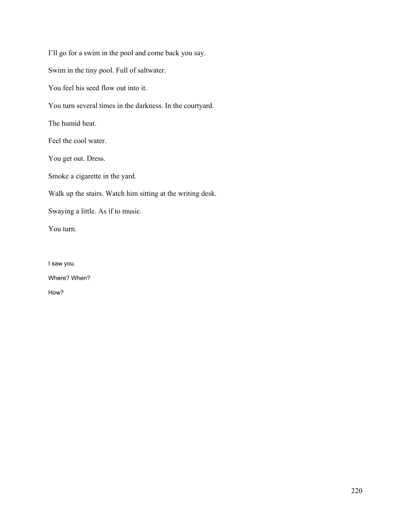I'll go for a swim in the pool and come back you say. Swim in the tiny pool. Full of saltwater. You feel his seed flow out into it. You turn several times in the darkness. In the courtyard. The humid heat. Feel the cool water. You get out. Dress. Smoke a cigarette in the yard. Walk up the stairs. Watch him sitting at the writing desk. Swaying a little. As if to music. You turn.

I saw you. Where? When? How?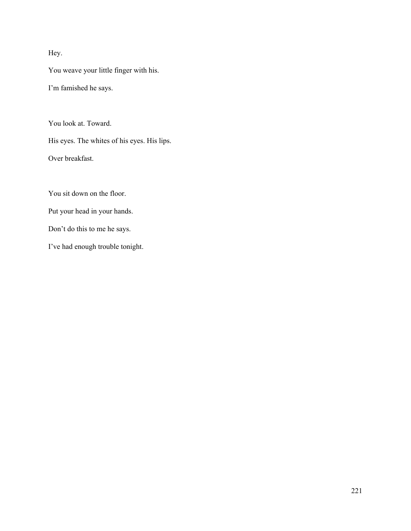## Hey.

You weave your little finger with his.

I'm famished he says.

You look at. Toward.

His eyes. The whites of his eyes. His lips.

Over breakfast.

You sit down on the floor.

Put your head in your hands.

Don't do this to me he says.

I've had enough trouble tonight.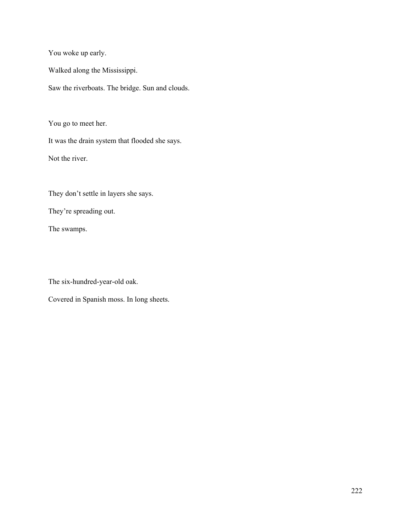You woke up early.

Walked along the Mississippi.

Saw the riverboats. The bridge. Sun and clouds.

You go to meet her.

It was the drain system that flooded she says.

Not the river.

They don't settle in layers she says.

They're spreading out.

The swamps.

The six-hundred-year-old oak.

Covered in Spanish moss. In long sheets.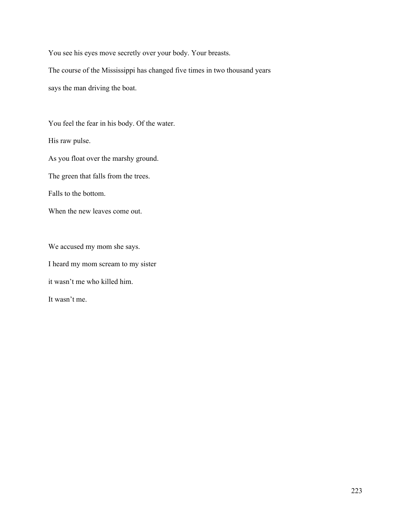You see his eyes move secretly over your body. Your breasts.

The course of the Mississippi has changed five times in two thousand years says the man driving the boat.

You feel the fear in his body. Of the water.

His raw pulse.

As you float over the marshy ground.

The green that falls from the trees.

Falls to the bottom.

When the new leaves come out.

We accused my mom she says. I heard my mom scream to my sister it wasn't me who killed him.

It wasn't me.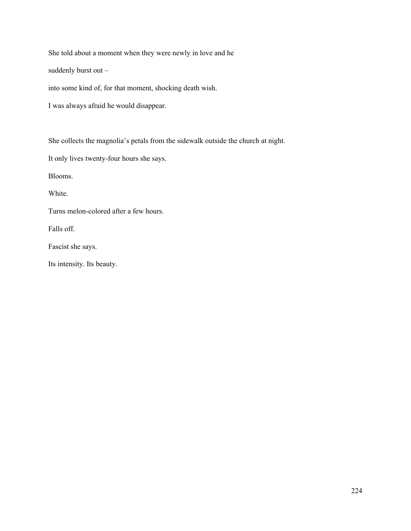She told about a moment when they were newly in love and he

suddenly burst out –

into some kind of, for that moment, shocking death wish.

I was always afraid he would disappear.

She collects the magnolia's petals from the sidewalk outside the church at night.

It only lives twenty-four hours she says.

Blooms.

White.

Turns melon-colored after a few hours.

Falls off.

Fascist she says.

Its intensity. Its beauty.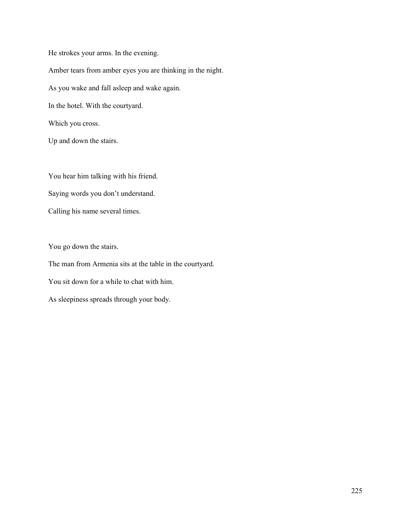He strokes your arms. In the evening. Amber tears from amber eyes you are thinking in the night. As you wake and fall asleep and wake again. In the hotel. With the courtyard. Which you cross.

Up and down the stairs.

You hear him talking with his friend. Saying words you don't understand. Calling his name several times.

You go down the stairs.

The man from Armenia sits at the table in the courtyard.

You sit down for a while to chat with him.

As sleepiness spreads through your body.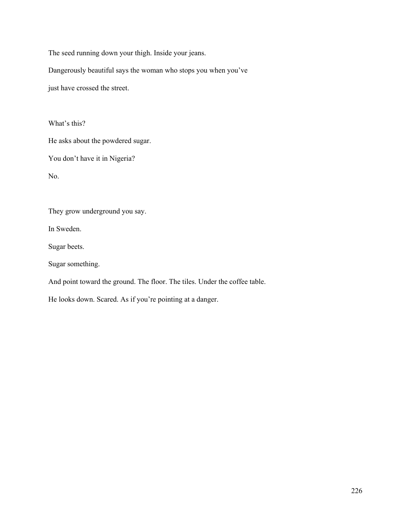The seed running down your thigh. Inside your jeans.

Dangerously beautiful says the woman who stops you when you've

just have crossed the street.

What's this?

He asks about the powdered sugar.

You don't have it in Nigeria?

No.

They grow underground you say.

In Sweden.

Sugar beets.

Sugar something.

And point toward the ground. The floor. The tiles. Under the coffee table.

He looks down. Scared. As if you're pointing at a danger.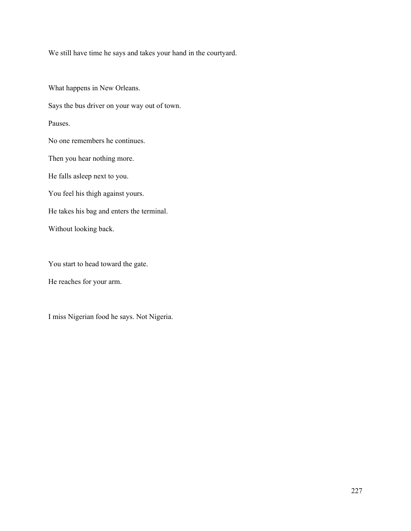We still have time he says and takes your hand in the courtyard.

What happens in New Orleans. Says the bus driver on your way out of town. Pauses. No one remembers he continues. Then you hear nothing more. He falls asleep next to you. You feel his thigh against yours. He takes his bag and enters the terminal. Without looking back.

You start to head toward the gate.

He reaches for your arm.

I miss Nigerian food he says. Not Nigeria.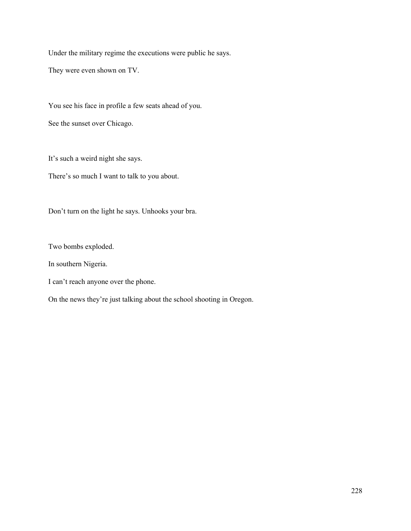Under the military regime the executions were public he says.

They were even shown on TV.

You see his face in profile a few seats ahead of you. See the sunset over Chicago.

It's such a weird night she says.

There's so much I want to talk to you about.

Don't turn on the light he says. Unhooks your bra.

Two bombs exploded.

In southern Nigeria.

I can't reach anyone over the phone.

On the news they're just talking about the school shooting in Oregon.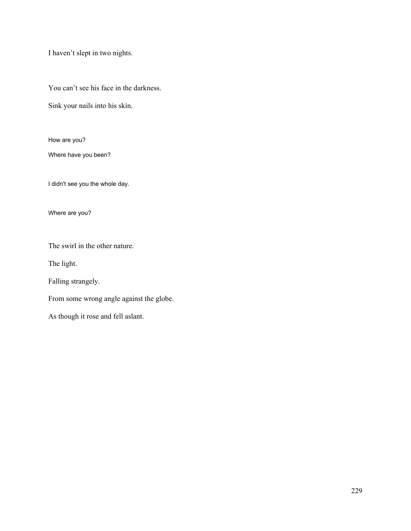I haven't slept in two nights.

You can't see his face in the darkness.

Sink your nails into his skin.

How are you?

Where have you been?

I didn't see you the whole day.

Where are you?

The swirl in the other nature.

The light.

Falling strangely.

From some wrong angle against the globe.

As though it rose and fell aslant.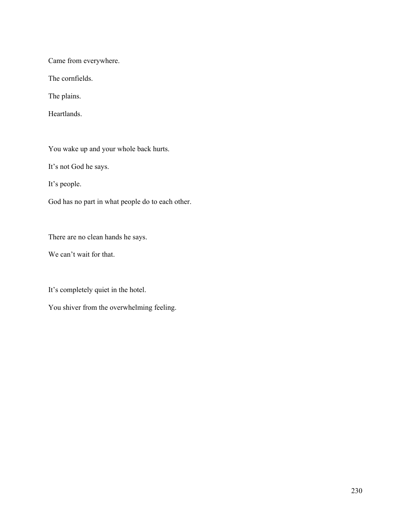Came from everywhere.

The cornfields.

The plains.

Heartlands.

You wake up and your whole back hurts.

It's not God he says.

It's people.

God has no part in what people do to each other.

There are no clean hands he says.

We can't wait for that.

It's completely quiet in the hotel.

You shiver from the overwhelming feeling.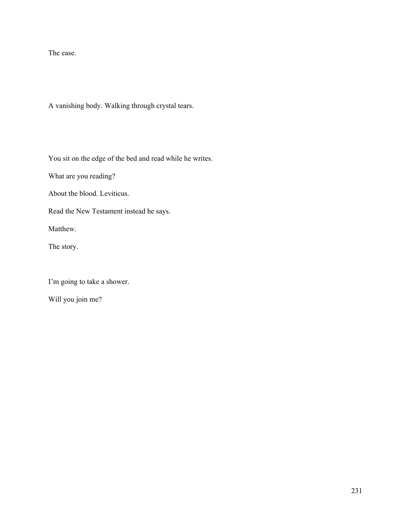The ease.

A vanishing body. Walking through crystal tears.

You sit on the edge of the bed and read while he writes.

What are you reading?

About the blood. Leviticus.

Read the New Testament instead he says.

Matthew.

The story.

I'm going to take a shower.

Will you join me?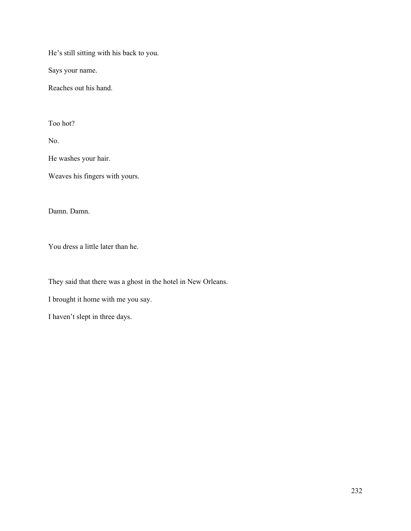He's still sitting with his back to you.

Says your name.

Reaches out his hand.

Too hot?

No.

He washes your hair.

Weaves his fingers with yours.

Damn. Damn.

You dress a little later than he.

They said that there was a ghost in the hotel in New Orleans.

I brought it home with me you say.

I haven't slept in three days.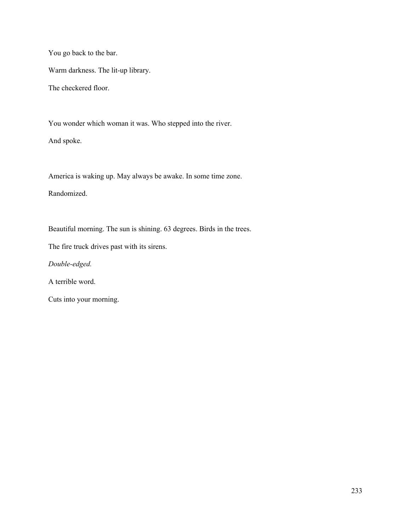You go back to the bar.

Warm darkness. The lit-up library.

The checkered floor.

You wonder which woman it was. Who stepped into the river.

And spoke.

America is waking up. May always be awake. In some time zone.

Randomized.

Beautiful morning. The sun is shining. 63 degrees. Birds in the trees.

The fire truck drives past with its sirens.

*Double-edged.*

A terrible word.

Cuts into your morning.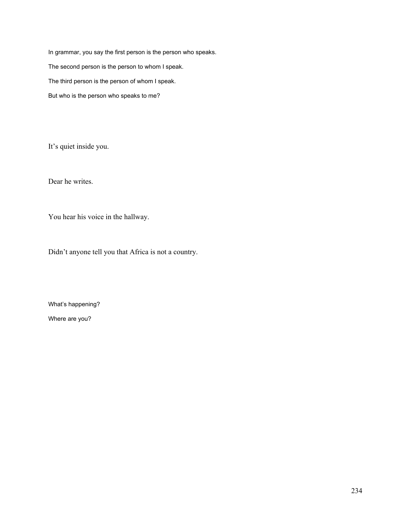In grammar, you say the first person is the person who speaks. The second person is the person to whom I speak. The third person is the person of whom I speak. But who is the person who speaks to me?

It's quiet inside you.

Dear he writes.

You hear his voice in the hallway.

Didn't anyone tell you that Africa is not a country.

What's happening?

Where are you?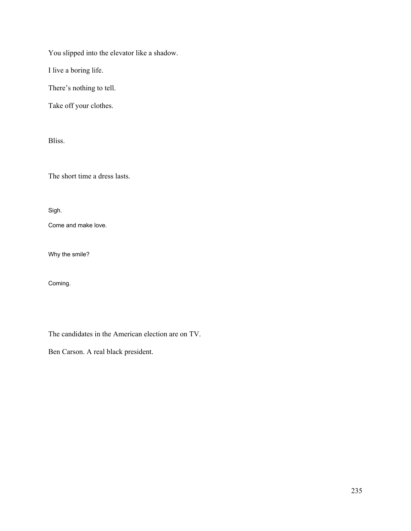You slipped into the elevator like a shadow.

I live a boring life.

There's nothing to tell.

Take off your clothes.

Bliss.

The short time a dress lasts.

Sigh.

Come and make love.

Why the smile?

Coming.

The candidates in the American election are on TV.

Ben Carson. A real black president.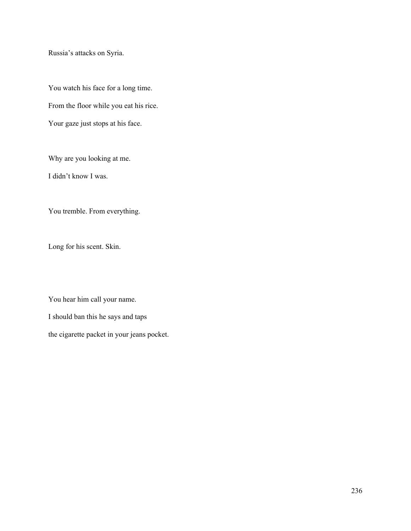Russia's attacks on Syria.

You watch his face for a long time. From the floor while you eat his rice. Your gaze just stops at his face.

Why are you looking at me.

I didn't know I was.

You tremble. From everything.

Long for his scent. Skin.

You hear him call your name.

I should ban this he says and taps

the cigarette packet in your jeans pocket.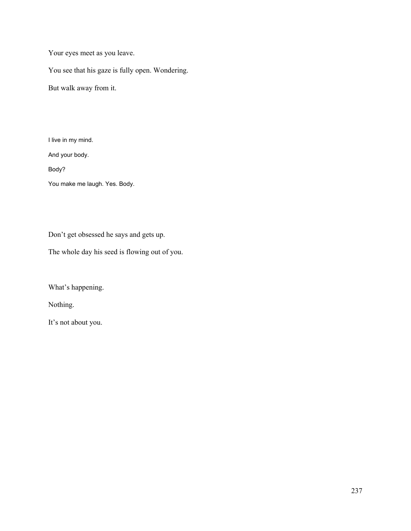Your eyes meet as you leave.

You see that his gaze is fully open. Wondering.

But walk away from it.

I live in my mind.

And your body.

Body?

You make me laugh. Yes. Body.

Don't get obsessed he says and gets up.

The whole day his seed is flowing out of you.

What's happening.

Nothing.

It's not about you.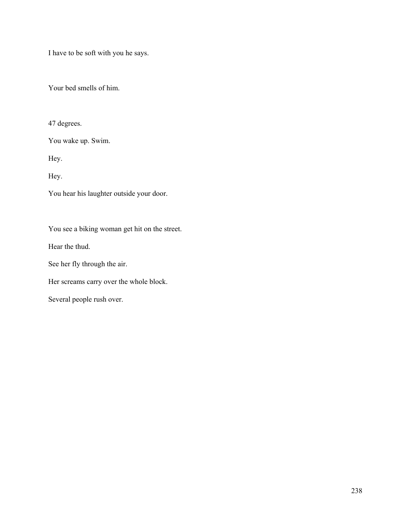I have to be soft with you he says.

Your bed smells of him.

47 degrees.

You wake up. Swim.

Hey.

Hey.

You hear his laughter outside your door.

You see a biking woman get hit on the street.

Hear the thud.

See her fly through the air.

Her screams carry over the whole block.

Several people rush over.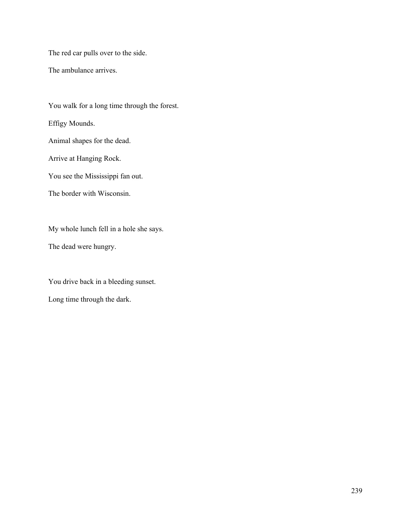The red car pulls over to the side.

The ambulance arrives.

You walk for a long time through the forest. Effigy Mounds. Animal shapes for the dead. Arrive at Hanging Rock. You see the Mississippi fan out. The border with Wisconsin. My whole lunch fell in a hole she says.

The dead were hungry.

You drive back in a bleeding sunset.

Long time through the dark.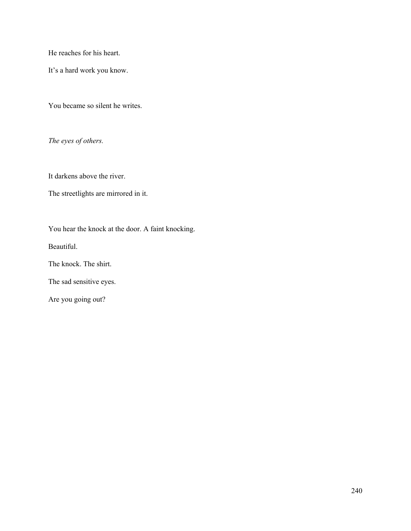He reaches for his heart.

It's a hard work you know.

You became so silent he writes.

*The eyes of others.*

It darkens above the river.

The streetlights are mirrored in it.

You hear the knock at the door. A faint knocking.

Beautiful.

The knock. The shirt.

The sad sensitive eyes.

Are you going out?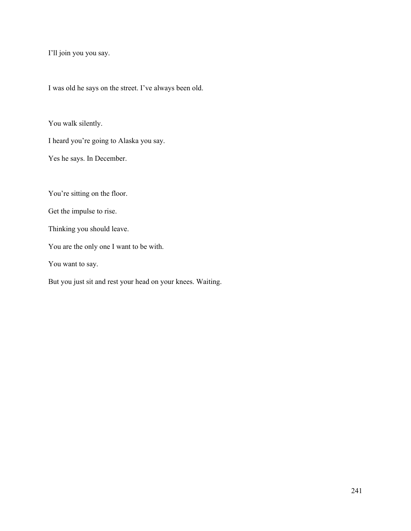I'll join you you say.

I was old he says on the street. I've always been old.

You walk silently.

I heard you're going to Alaska you say.

Yes he says. In December.

You're sitting on the floor.

Get the impulse to rise.

Thinking you should leave.

You are the only one I want to be with.

You want to say.

But you just sit and rest your head on your knees. Waiting.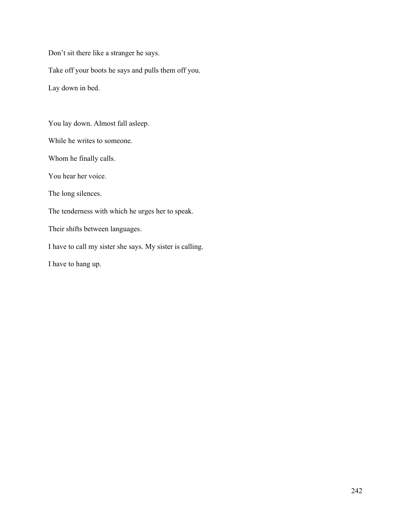Don't sit there like a stranger he says.

Take off your boots he says and pulls them off you.

Lay down in bed.

You lay down. Almost fall asleep.

While he writes to someone.

Whom he finally calls.

You hear her voice.

The long silences.

The tenderness with which he urges her to speak.

Their shifts between languages.

I have to call my sister she says. My sister is calling.

I have to hang up.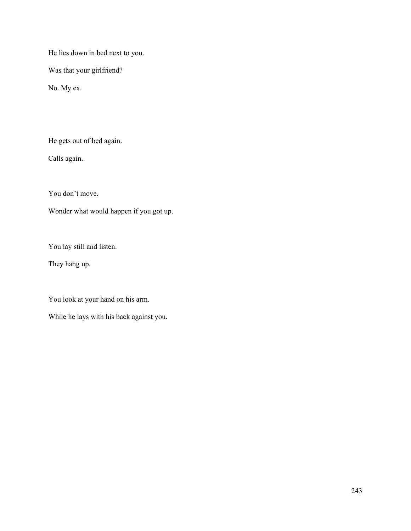He lies down in bed next to you.

Was that your girlfriend?

No. My ex.

He gets out of bed again.

Calls again.

You don't move.

Wonder what would happen if you got up.

You lay still and listen.

They hang up.

You look at your hand on his arm.

While he lays with his back against you.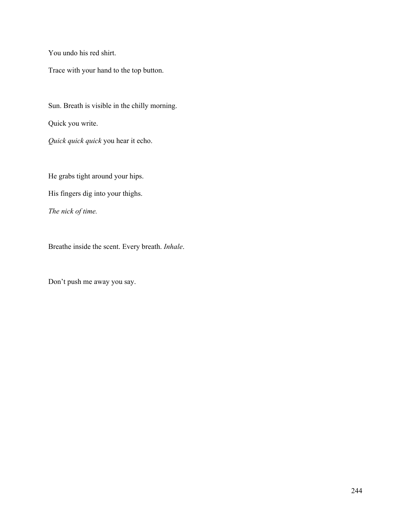You undo his red shirt.

Trace with your hand to the top button.

Sun. Breath is visible in the chilly morning.

Quick you write.

*Quick quick quick* you hear it echo.

He grabs tight around your hips.

His fingers dig into your thighs.

*The nick of time.*

Breathe inside the scent. Every breath. *Inhale*.

Don't push me away you say.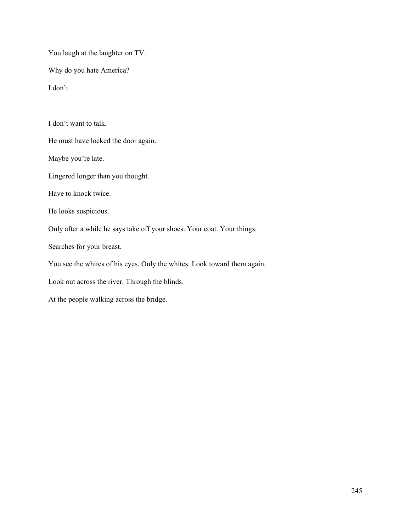You laugh at the laughter on TV.

Why do you hate America?

I don't.

I don't want to talk.

He must have locked the door again.

Maybe you're late.

Lingered longer than you thought.

Have to knock twice.

He looks suspicious.

Only after a while he says take off your shoes. Your coat. Your things.

Searches for your breast.

You see the whites of his eyes. Only the whites. Look toward them again.

Look out across the river. Through the blinds.

At the people walking across the bridge.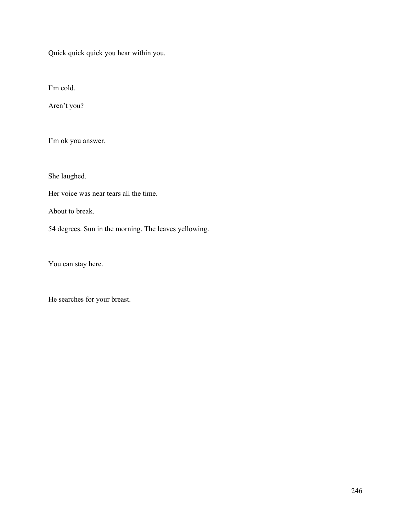Quick quick quick you hear within you.

I'm cold.

Aren't you?

I'm ok you answer.

She laughed.

Her voice was near tears all the time.

About to break.

54 degrees. Sun in the morning. The leaves yellowing.

You can stay here.

He searches for your breast.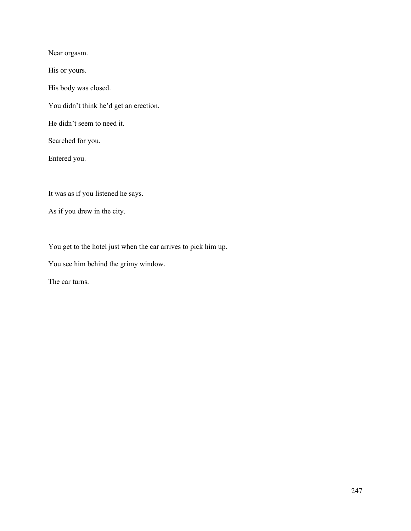Near orgasm.

His or yours.

His body was closed.

You didn't think he'd get an erection.

He didn't seem to need it.

Searched for you.

Entered you.

It was as if you listened he says.

As if you drew in the city.

You get to the hotel just when the car arrives to pick him up.

You see him behind the grimy window.

The car turns.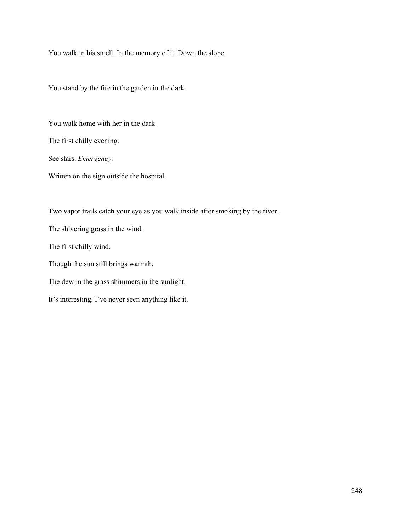You walk in his smell. In the memory of it. Down the slope.

You stand by the fire in the garden in the dark.

You walk home with her in the dark.

The first chilly evening.

See stars. *Emergency*.

Written on the sign outside the hospital.

Two vapor trails catch your eye as you walk inside after smoking by the river.

The shivering grass in the wind.

The first chilly wind.

Though the sun still brings warmth.

The dew in the grass shimmers in the sunlight.

It's interesting. I've never seen anything like it.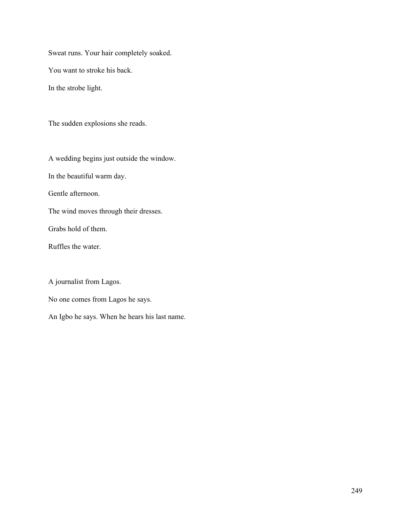Sweat runs. Your hair completely soaked. You want to stroke his back. In the strobe light.

The sudden explosions she reads.

A wedding begins just outside the window.

In the beautiful warm day.

Gentle afternoon.

The wind moves through their dresses.

Grabs hold of them.

Ruffles the water.

A journalist from Lagos.

No one comes from Lagos he says.

An Igbo he says. When he hears his last name.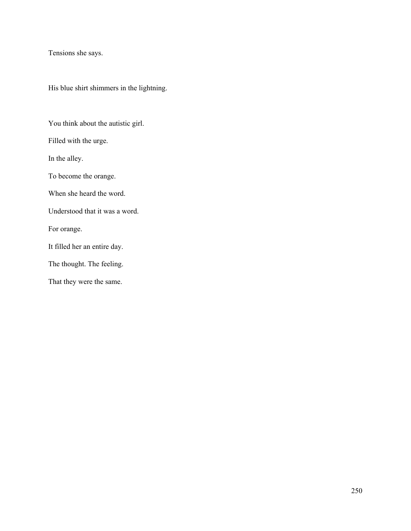Tensions she says.

His blue shirt shimmers in the lightning.

You think about the autistic girl.

Filled with the urge.

In the alley.

To become the orange.

When she heard the word.

Understood that it was a word.

For orange.

It filled her an entire day.

The thought. The feeling.

That they were the same.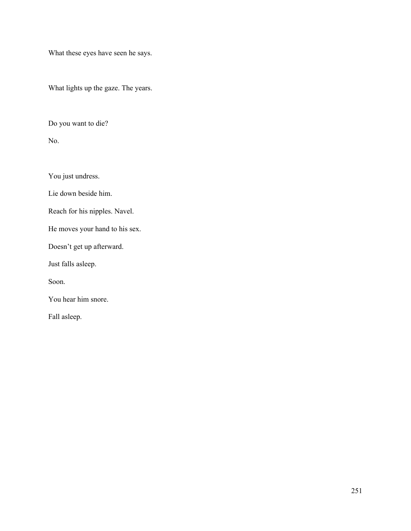What these eyes have seen he says.

What lights up the gaze. The years.

Do you want to die?

No.

You just undress.

Lie down beside him.

Reach for his nipples. Navel.

He moves your hand to his sex.

Doesn't get up afterward.

Just falls asleep.

Soon.

You hear him snore.

Fall asleep.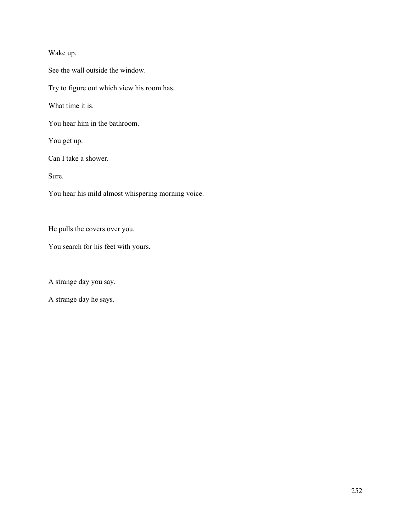## Wake up.

See the wall outside the window.

Try to figure out which view his room has.

What time it is.

You hear him in the bathroom.

You get up.

Can I take a shower.

Sure.

You hear his mild almost whispering morning voice.

He pulls the covers over you.

You search for his feet with yours.

A strange day you say.

A strange day he says.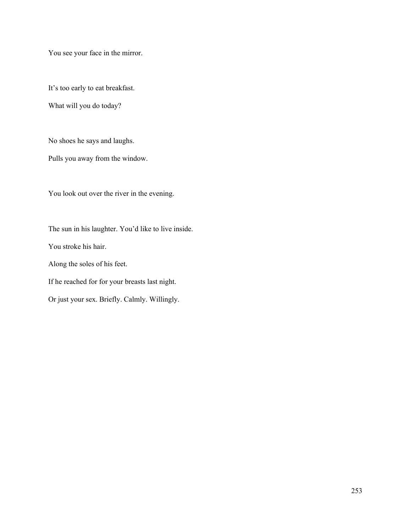You see your face in the mirror.

It's too early to eat breakfast.

What will you do today?

No shoes he says and laughs.

Pulls you away from the window.

You look out over the river in the evening.

The sun in his laughter. You'd like to live inside. You stroke his hair. Along the soles of his feet. If he reached for for your breasts last night.

Or just your sex. Briefly. Calmly. Willingly.

253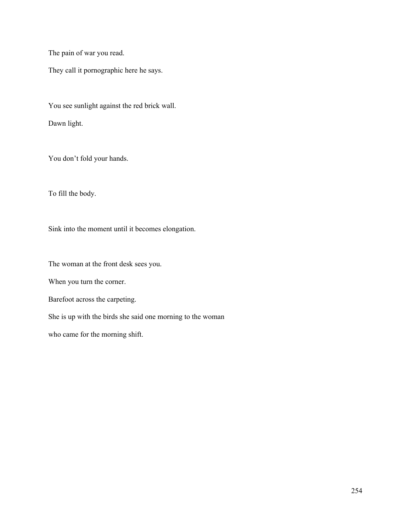The pain of war you read.

They call it pornographic here he says.

You see sunlight against the red brick wall.

Dawn light.

You don't fold your hands.

To fill the body.

Sink into the moment until it becomes elongation.

The woman at the front desk sees you.

When you turn the corner.

Barefoot across the carpeting.

She is up with the birds she said one morning to the woman

who came for the morning shift.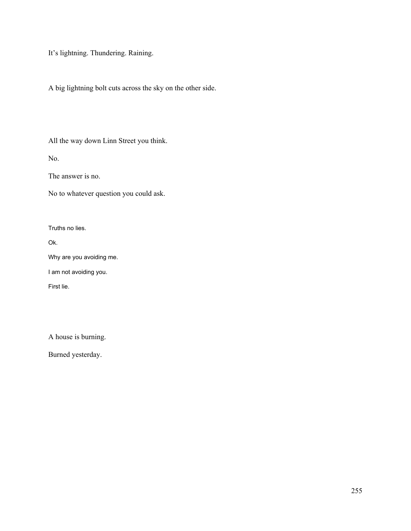It's lightning. Thundering. Raining.

A big lightning bolt cuts across the sky on the other side.

All the way down Linn Street you think.

No.

The answer is no.

No to whatever question you could ask.

Truths no lies.

Ok.

Why are you avoiding me.

I am not avoiding you.

First lie.

A house is burning.

Burned yesterday.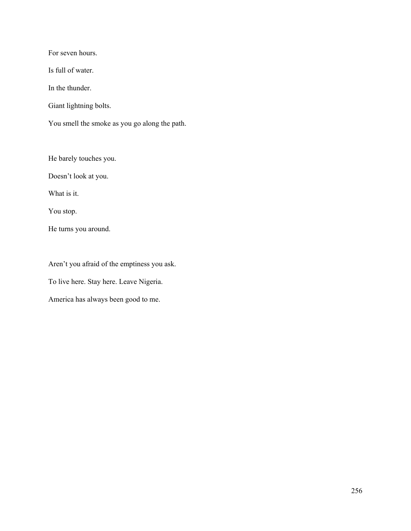For seven hours.

Is full of water.

In the thunder.

Giant lightning bolts.

You smell the smoke as you go along the path.

He barely touches you.

Doesn't look at you.

What is it.

You stop.

He turns you around.

Aren't you afraid of the emptiness you ask.

To live here. Stay here. Leave Nigeria.

America has always been good to me.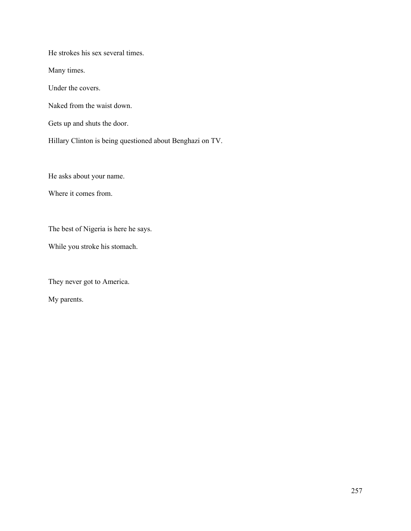He strokes his sex several times.

Many times.

Under the covers.

Naked from the waist down.

Gets up and shuts the door.

Hillary Clinton is being questioned about Benghazi on TV.

He asks about your name.

Where it comes from.

The best of Nigeria is here he says.

While you stroke his stomach.

They never got to America.

My parents.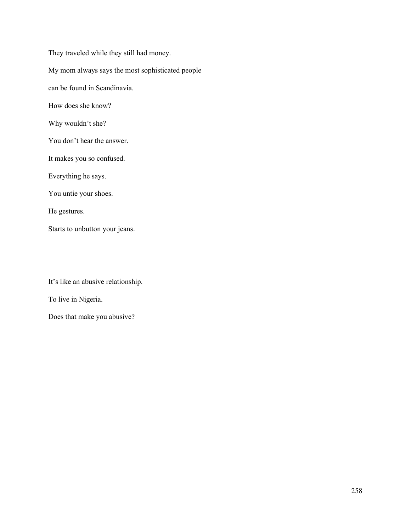They traveled while they still had money. My mom always says the most sophisticated people can be found in Scandinavia. How does she know? Why wouldn't she? You don't hear the answer. It makes you so confused. Everything he says. You untie your shoes. He gestures. Starts to unbutton your jeans.

It's like an abusive relationship.

To live in Nigeria.

Does that make you abusive?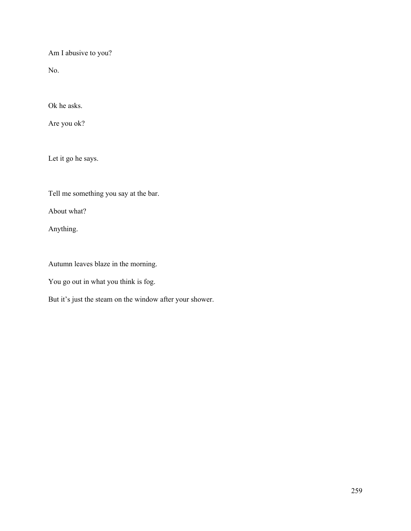Am I abusive to you?

No.

Ok he asks.

Are you ok?

Let it go he says.

Tell me something you say at the bar.

About what?

Anything.

Autumn leaves blaze in the morning.

You go out in what you think is fog.

But it's just the steam on the window after your shower.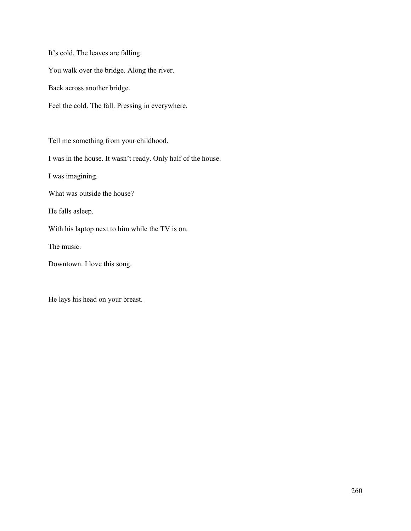It's cold. The leaves are falling. You walk over the bridge. Along the river. Back across another bridge. Feel the cold. The fall. Pressing in everywhere.

Tell me something from your childhood.

I was in the house. It wasn't ready. Only half of the house.

I was imagining.

What was outside the house?

He falls asleep.

With his laptop next to him while the TV is on.

The music.

Downtown. I love this song.

He lays his head on your breast.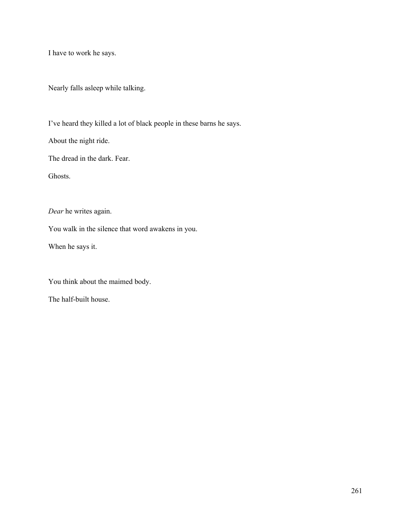I have to work he says.

Nearly falls asleep while talking.

I've heard they killed a lot of black people in these barns he says.

About the night ride.

The dread in the dark. Fear.

Ghosts.

*Dear* he writes again.

You walk in the silence that word awakens in you.

When he says it.

You think about the maimed body.

The half-built house.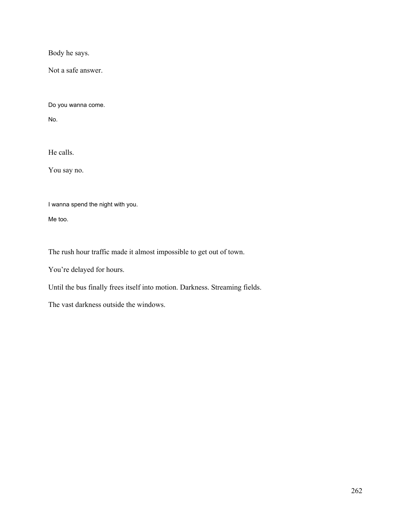Body he says.

Not a safe answer.

Do you wanna come.

No.

He calls.

You say no.

I wanna spend the night with you.

Me too.

The rush hour traffic made it almost impossible to get out of town.

You're delayed for hours.

Until the bus finally frees itself into motion. Darkness. Streaming fields.

The vast darkness outside the windows.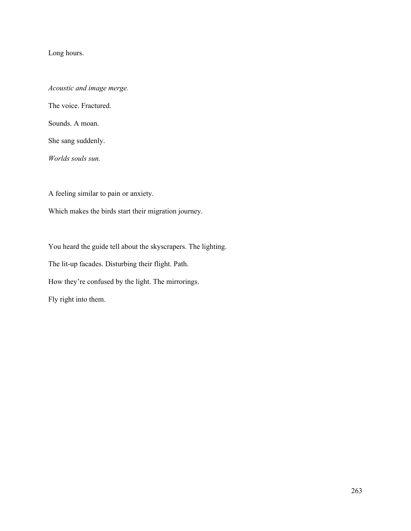Long hours.

*Acoustic and image merge.* The voice. Fractured.

Sounds. A moan.

She sang suddenly.

*Worlds souls sun.*

A feeling similar to pain or anxiety.

Which makes the birds start their migration journey.

You heard the guide tell about the skyscrapers. The lighting. The lit-up facades. Disturbing their flight. Path. How they're confused by the light. The mirrorings. Fly right into them.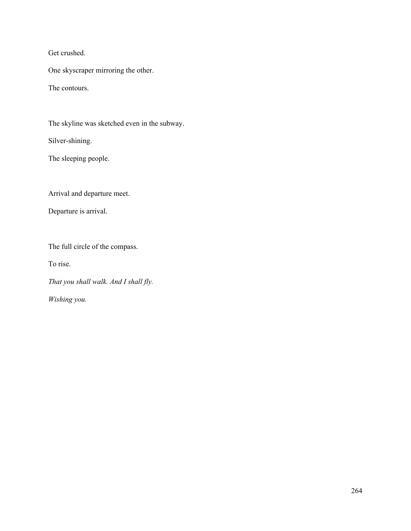Get crushed.

One skyscraper mirroring the other.

The contours.

The skyline was sketched even in the subway.

Silver-shining.

The sleeping people.

Arrival and departure meet.

Departure is arrival.

The full circle of the compass.

To rise.

*That you shall walk. And I shall fly.*

*Wishing you.*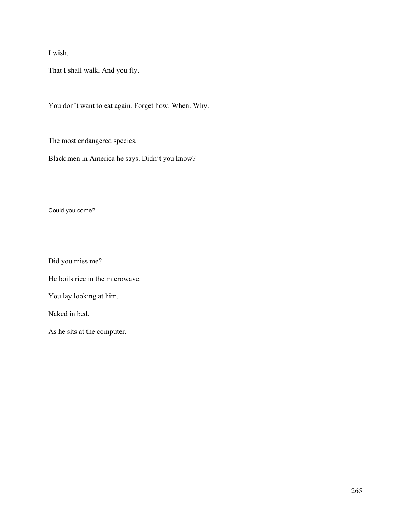I wish.

That I shall walk. And you fly.

You don't want to eat again. Forget how. When. Why.

The most endangered species.

Black men in America he says. Didn't you know?

Could you come?

Did you miss me?

He boils rice in the microwave.

You lay looking at him.

Naked in bed.

As he sits at the computer.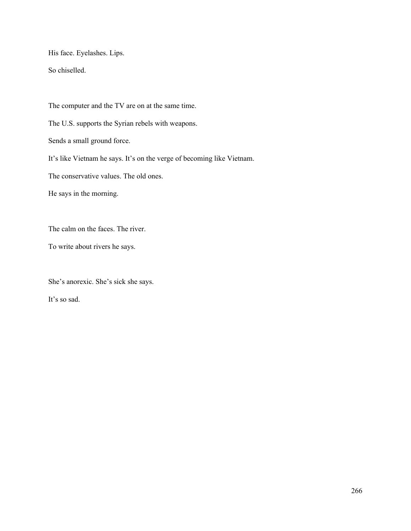His face. Eyelashes. Lips.

So chiselled.

The computer and the TV are on at the same time. The U.S. supports the Syrian rebels with weapons. Sends a small ground force. It's like Vietnam he says. It's on the verge of becoming like Vietnam. The conservative values. The old ones. He says in the morning.

The calm on the faces. The river.

To write about rivers he says.

She's anorexic. She's sick she says.

It's so sad.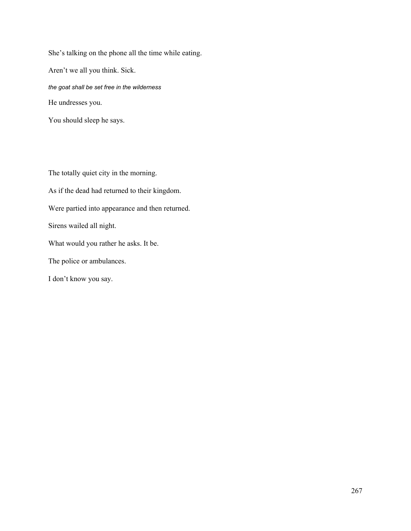She's talking on the phone all the time while eating. Aren't we all you think. Sick. *the goat shall be set free in the wilderness* He undresses you.

You should sleep he says.

The totally quiet city in the morning. As if the dead had returned to their kingdom. Were partied into appearance and then returned. Sirens wailed all night. What would you rather he asks. It be. The police or ambulances. I don't know you say.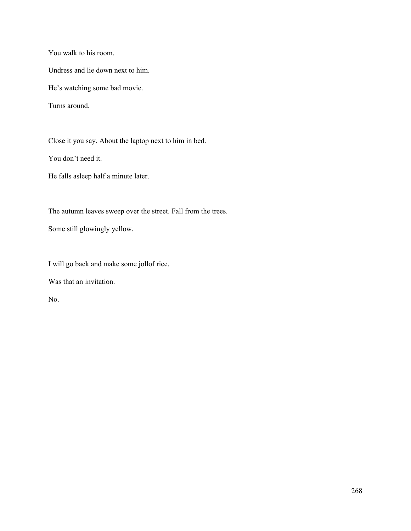You walk to his room.

Undress and lie down next to him.

He's watching some bad movie.

Turns around.

Close it you say. About the laptop next to him in bed.

You don't need it.

He falls asleep half a minute later.

The autumn leaves sweep over the street. Fall from the trees.

Some still glowingly yellow.

I will go back and make some jollof rice.

Was that an invitation.

No.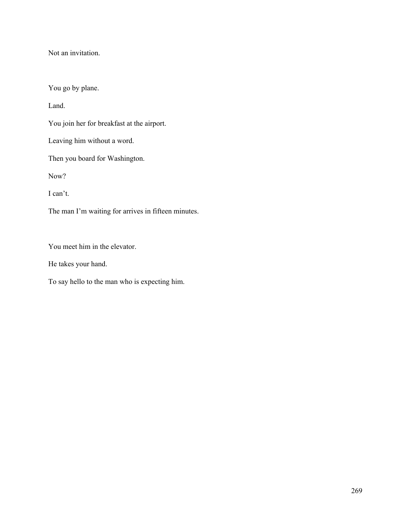Not an invitation.

You go by plane.

Land.

You join her for breakfast at the airport.

Leaving him without a word.

Then you board for Washington.

Now?

I can't.

The man I'm waiting for arrives in fifteen minutes.

You meet him in the elevator.

He takes your hand.

To say hello to the man who is expecting him.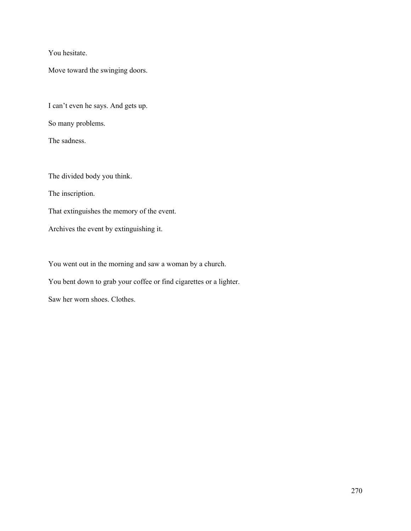You hesitate.

Move toward the swinging doors.

I can't even he says. And gets up.

So many problems.

The sadness.

The divided body you think.

The inscription.

That extinguishes the memory of the event.

Archives the event by extinguishing it.

You went out in the morning and saw a woman by a church.

You bent down to grab your coffee or find cigarettes or a lighter.

Saw her worn shoes. Clothes.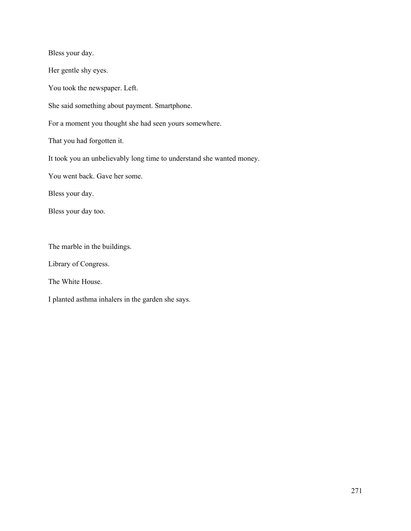Bless your day. Her gentle shy eyes. You took the newspaper. Left. She said something about payment. Smartphone. For a moment you thought she had seen yours somewhere. That you had forgotten it. It took you an unbelievably long time to understand she wanted money. You went back. Gave her some. Bless your day. Bless your day too. The marble in the buildings.

Library of Congress.

The White House.

I planted asthma inhalers in the garden she says.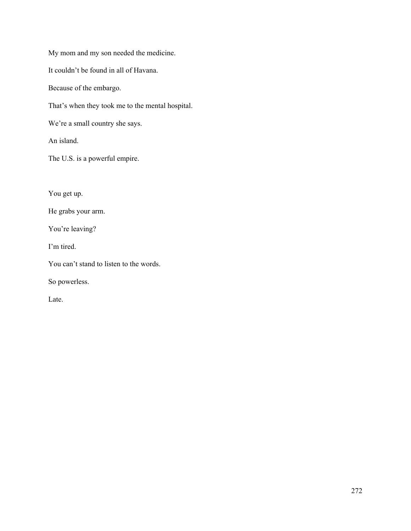My mom and my son needed the medicine.

It couldn't be found in all of Havana.

Because of the embargo.

That's when they took me to the mental hospital.

We're a small country she says.

An island.

The U.S. is a powerful empire.

You get up.

He grabs your arm.

You're leaving?

I'm tired.

You can't stand to listen to the words.

So powerless.

Late.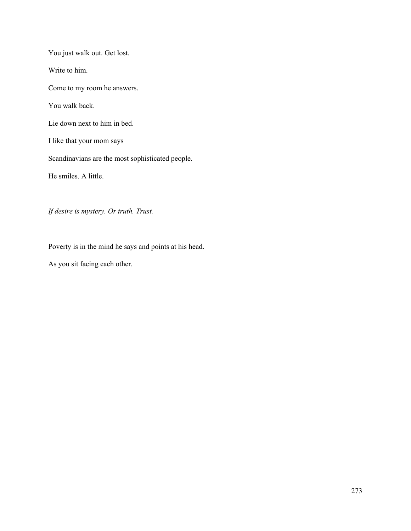You just walk out. Get lost. Write to him. Come to my room he answers. You walk back. Lie down next to him in bed. I like that your mom says Scandinavians are the most sophisticated people. He smiles. A little.

*If desire is mystery. Or truth. Trust.*

Poverty is in the mind he says and points at his head.

As you sit facing each other.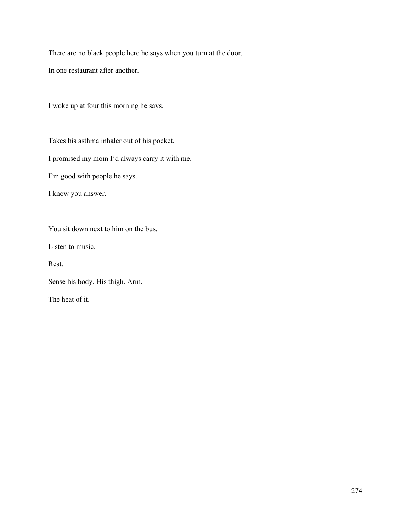There are no black people here he says when you turn at the door.

In one restaurant after another.

I woke up at four this morning he says.

Takes his asthma inhaler out of his pocket.

I promised my mom I'd always carry it with me.

I'm good with people he says.

I know you answer.

You sit down next to him on the bus.

Listen to music.

Rest.

Sense his body. His thigh. Arm.

The heat of it.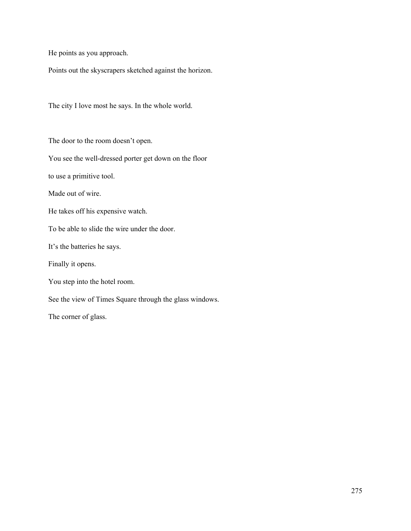He points as you approach.

Points out the skyscrapers sketched against the horizon.

The city I love most he says. In the whole world.

The door to the room doesn't open.

You see the well-dressed porter get down on the floor

to use a primitive tool.

Made out of wire.

He takes off his expensive watch.

To be able to slide the wire under the door.

It's the batteries he says.

Finally it opens.

You step into the hotel room.

See the view of Times Square through the glass windows.

The corner of glass.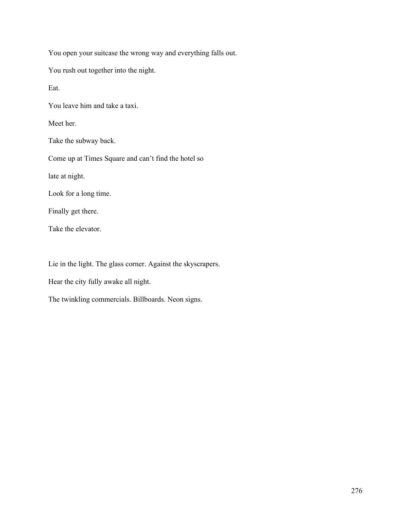You open your suitcase the wrong way and everything falls out.

You rush out together into the night.

Eat.

You leave him and take a taxi.

Meet her.

Take the subway back.

Come up at Times Square and can't find the hotel so

late at night.

Look for a long time.

Finally get there.

Take the elevator.

Lie in the light. The glass corner. Against the skyscrapers.

Hear the city fully awake all night.

The twinkling commercials. Billboards. Neon signs.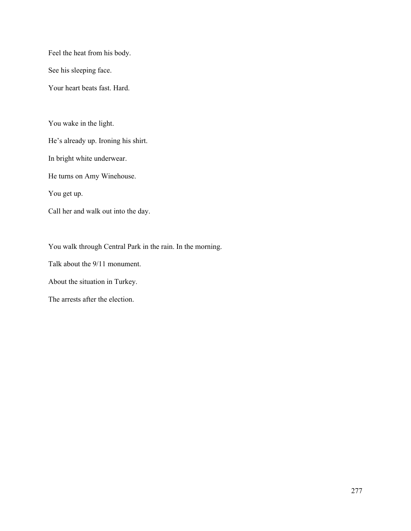Feel the heat from his body.

See his sleeping face.

Your heart beats fast. Hard.

You wake in the light.

He's already up. Ironing his shirt.

In bright white underwear.

He turns on Amy Winehouse.

You get up.

Call her and walk out into the day.

You walk through Central Park in the rain. In the morning.

Talk about the 9/11 monument.

About the situation in Turkey.

The arrests after the election.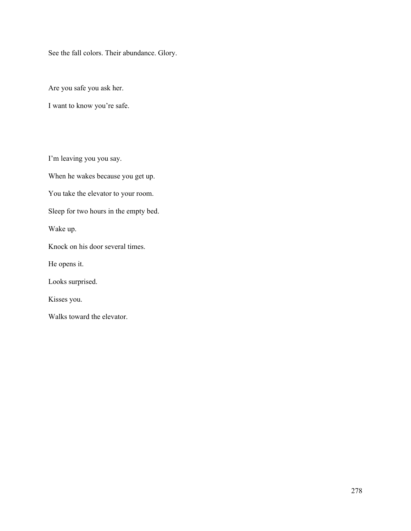See the fall colors. Their abundance. Glory.

Are you safe you ask her.

I want to know you're safe.

I'm leaving you you say.

When he wakes because you get up.

You take the elevator to your room.

Sleep for two hours in the empty bed.

Wake up.

Knock on his door several times.

He opens it.

Looks surprised.

Kisses you.

Walks toward the elevator.